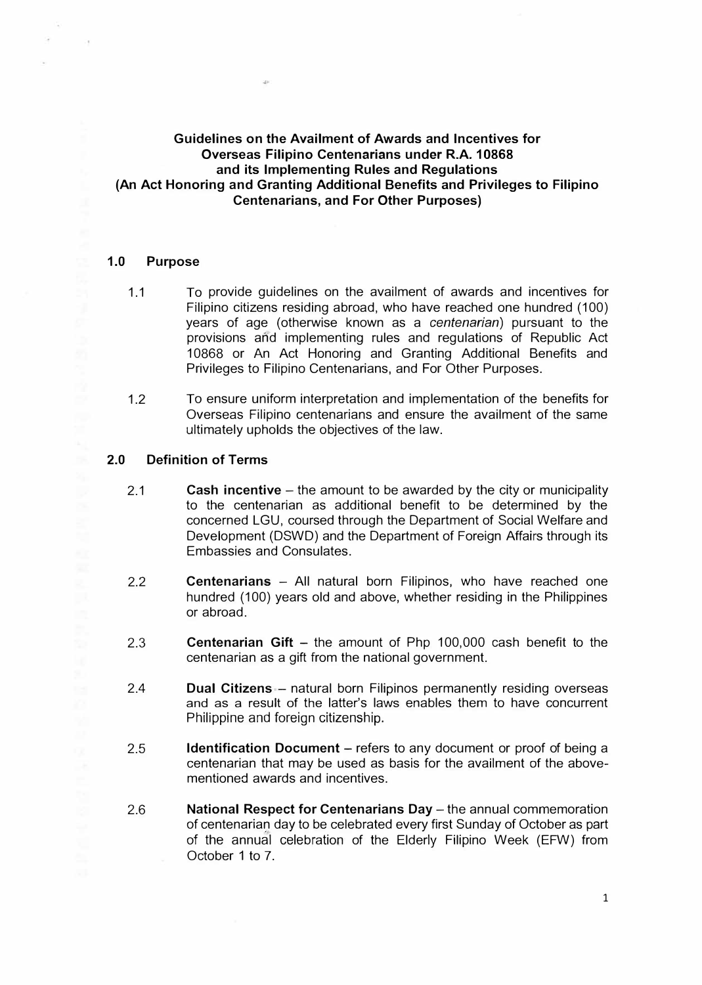# **Guidelines on the Availment of Awards and Incentives for Overseas Filipino Centenarians under R.A. 10868 and its Implementing Rules and Regulations (An Act Honoring and Granting Additional Benefits and Privileges to Filipino Centenarians, and For Other Purposes)**

 $48^\circ$ 

#### **1.0 Purpose**

 $\sim$ 

- 1.1 To provide guidelines on the availment of awards and incentives for Filipino citizens residing abroad, who have reached one hundred (100) years of age (otherwise known as a *centenarian)* pursuant to the provisions and implementing rules and regulations of Republic Act 10868 or An Act Honoring and Granting Additional Benefits and Privileges to Filipino Centenarians, and For Other Purposes.
- 1.2 To ensure uniform interpretation and implementation of the benefits for Overseas Filipino centenarians and ensure the availment of the same ultimately upholds the objectives of the law.

### **2.0 Definition of Terms**

- 2.1 **Cash incentive** – the amount to be awarded by the city or municipality to the centenarian as additional benefit to be determined by the concerned LGU, coursed through the Department of Social Welfare and Development (DSWD) and the Department of Foreign Affairs through its Embassies and Consulates.
- 2.2 **Centenarians** - All natural born Filipinos, who have reached one hundred (100) years old and above, whether residing in the Philippines or abroad.
- 2.3 **Centenarian Gift** – the amount of Php 100,000 cash benefit to the centenarian as a gift from the national government.
- 2.4 **Dual Citizens - natural born Filipinos permanently residing overseas** and as a result of the latter's laws enables them to have concurrent Philippine and foreign citizenship.
- 2.5 **Identification Document** – refers to any document or proof of being a centenarian that may be used as basis for the availment of the abovementioned awards and incentives.
- 2.6 **National Respect for Centenarians Day** – the annual commemoration of centenarian day to be celebrated every first Sunday of October as part of the annual celebration of the Elderly Filipino Week (EFW) from October 1 to 7.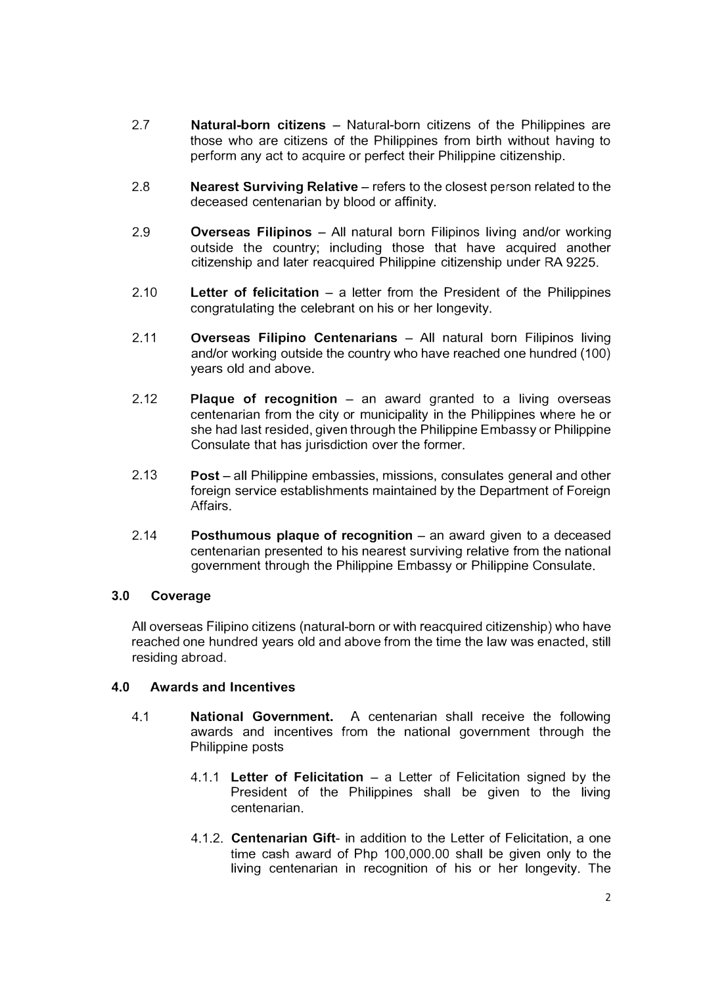- 2.7 **Natural-born citizens - Natural-born citizens of the Philippines are** those who are citizens of the Philippines from birth without having to perform any act to acquire or perfect their Philippine citizenship.
- 2.8 **Nearest Surviving Relative** – refers to the closest person related to the deceased centenarian by blood or affinity.
- 2.9 **Overseas Filipinos** - All natural born Filipinos living and/or working outside the country; including those that have acquired another citizenship and later reacquired Philippine citizenship under RA 9225.
- 2.10 Letter of felicitation - a letter from the President of the Philippines congratulating the celebrant on his or her longevity.
- 2.11 **Overseas Filipino Centenarians - All natural born Filipinos living** and/or working outside the country who have reached one hundred (100) years old and above.
- 2.12 **Plaque of recognition** – an award granted to a living overseas centenarian from the city or municipality in the Philippines where he or she had last resided, given through the Philippine Embassy or Philippine Consulate that has jurisdiction over the former.
- 2.13 **Post** – all Philippine embassies, missions, consulates general and other foreign service establishments maintained by the Department of Foreign Affairs.
- 2.14 **Posthumous plaque of recognition** – an award given to a deceased centenarian presented to his nearest surviving relative from the national government through the Philippine Embassy or Philippine Consulate.

## **3.0 Coverage**

All overseas Filipino citizens (natural-born or with reacquired citizenship) who have reached one hundred years old and above from the time the law was enacted, still residing abroad.

## **4.0 Awards and Incentives**

- 4.1 **National Government. A** centenarian shall receive the following awards and incentives from the national government through the Philippine posts
	- 4.1.1 **Letter of Felicitation**  a Letter of Felicitation signed by the President of the Philippines shall be given to the living centenarian.
	- 4.1.2. **Centenarian Gift-** in addition to the Letter of Felicitation, a one time cash award of Php 100,000.00 shall be given only to the living centenarian in recognition of his or her longevity. The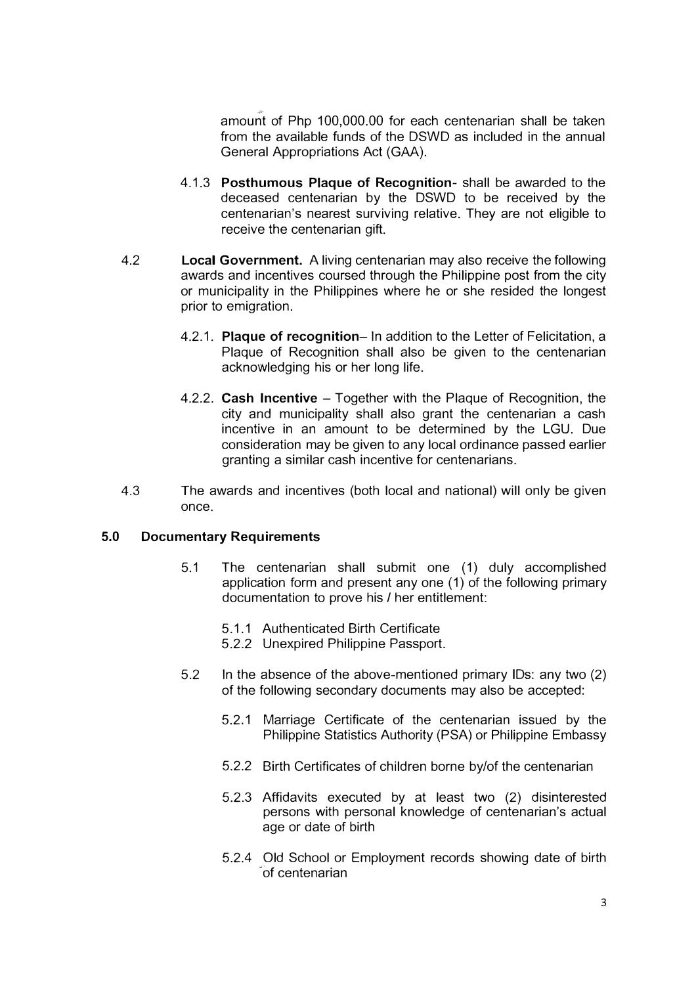amount of Php 100,000.00 for each centenarian shall be taken from the available funds of the DSWD as included in the annual General Appropriations Act (GAA).

- 4.1.3 **Posthumous Plaque of Recognition-** shall be awarded to the deceased centenarian by the DSWD to be received by the centenarian's nearest surviving relative. They are not eligible to receive the centenarian gift.
- 4.2 **Local Government.** A living centenarian may also receive the following awards and incentives coursed through the Philippine post from the city or municipality in the Philippines where he or she resided the longest prior to emigration.
	- 4.2.1. **Plaque of recognition-** In addition to the Letter of Felicitation, a Plaque of Recognition shall also be given to the centenarian acknovvledging his or her long life.
	- 4.2.2. **Cash Incentive**  Together with the Plaque of Recognition, the city and municipality shall also grant the centenarian a cash incentive in an amount to be determined by the LGU. Due consideration may be given to any local ordinance passed earlier granting a similar cash incentive for centenarians.
- 4.3 The awards and incentives (both local and national) will only be given once.

#### **5.0 Documentary Requirements**

- 5.1 The centenarian shall submit one (1) duly accomplished application form and present any one (1) of the following primary documentation to prove his/ her entitlement:
	- 5.1.1 Authenticated Birth Certificate
	- 5.2.2 Unexpired Philippine Passport.
- 5.2 In the absence of the above-mentioned primary IDs: any two (2) of the following secondary documents may also be accepted:
	- 5.2.1 Marriage Certificate of the centenarian issued by the Philippine Statistics Authority (PSA) or Philippine Embassy
	- 5.2.2 Birth Certificates of children borne by/of the centenarian
	- 5.2.3 Affidavits executed by at least two (2) disinterested persons with personal knowledge of centenarian's actual age or date of birth
	- 5.2.4 Old School or Employment records showing date of birth "of centenarian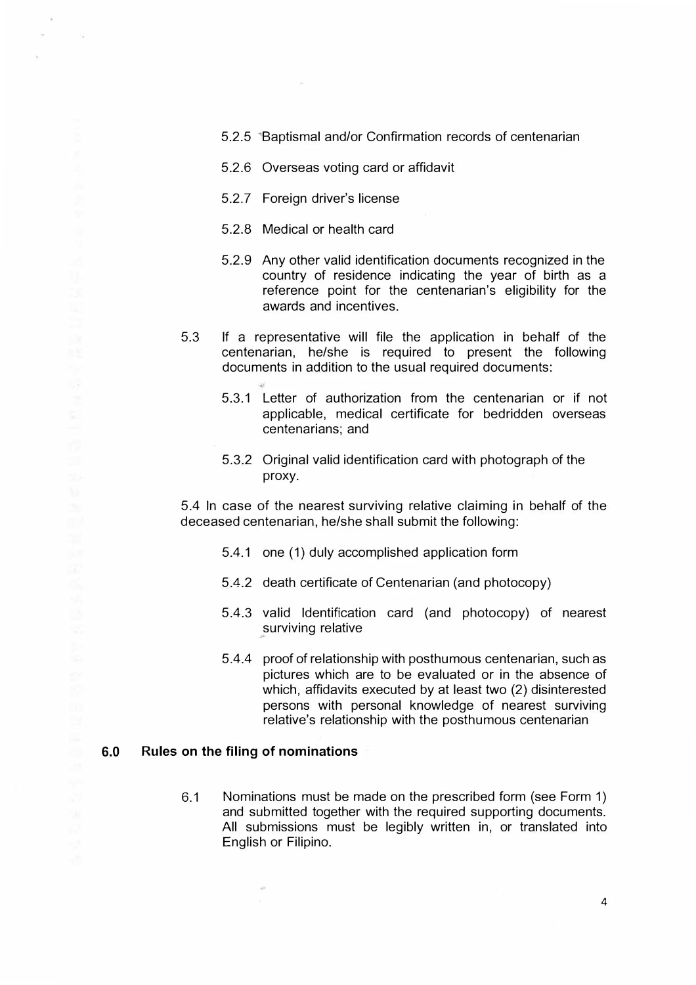- 5.2.5 **Baptismal and/or Confirmation records of centenarian**
- 5.2.6 Overseas voting card or affidavit
- 5.2.7 Foreign driver's license

 $\cdot$ 

- 5.2.8 Medical or health card
- 5.2.9 Any other valid identification documents recognized in the country of residence indicating the year of birth as a reference point for the centenarian's eligibility for the awards and incentives.
- 5.3 If a representative will file the application in behalf of the centenarian, he/she is required to present the following documents in addition to the usual required documents:
	- 5.3.1 Letter of authorization from the centenarian or if not applicable, medical certificate for bedridden overseas centenarians; and
	- 5.3.2 Original valid identification card with photograph of the proxy.

5.4 In case of the nearest surviving relative claiming in behalf of the deceased centenarian, he/she shall submit the following:

- 5.4.1 one (1) duly accomplished application form
- 5.4.2 death certificate of Centenarian (and photocopy)
- 5.4.3 valid Identification card (and photocopy) of nearest surviving relative  $\downarrow\!\!\omega$
- 5.4.4 proof of relationship with posthumous centenarian, such as pictures which are to be evaluated or in the absence of which, affidavits executed by at least two (2) disinterested persons with personal knowledge of nearest surviving relative's relationship with the posthumous centenarian

#### **6.0 Rules on the filing of nominations**

 $\sim$ 

6.1 Nominations must be made on the prescribed form (see Form 1) and submitted together with the required supporting documents. All submissions must be legibly written in, or translated into English or Filipino.

4